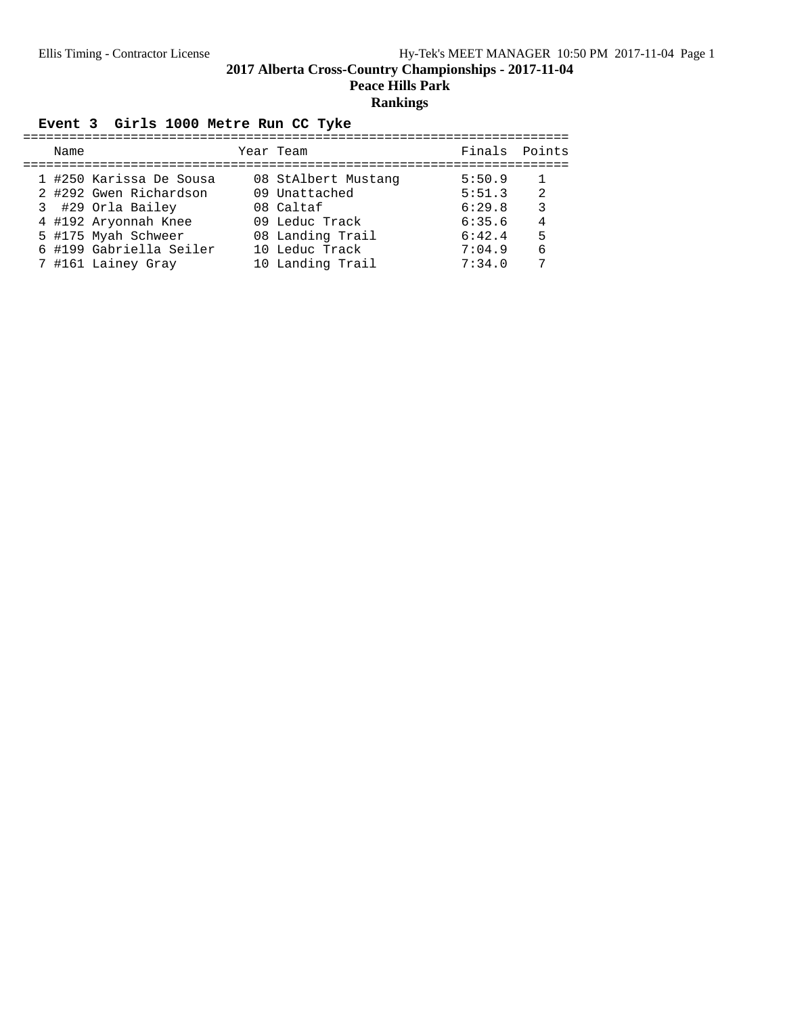**Peace Hills Park**

# **Rankings**

# Event 3 Girls 1000 Metre Run CC Tyke

| Name |                         | Year Team           | Finals Points |    |
|------|-------------------------|---------------------|---------------|----|
|      | 1 #250 Karissa De Sousa | 08 StAlbert Mustang | 5:50.9        |    |
|      | 2 #292 Gwen Richardson  | 09 Unattached       | 5:51.3        | -2 |
|      | 3 #29 Orla Bailey       | 08 Caltaf           | 6:29.8        | 3  |
|      | 4 #192 Aryonnah Knee    | 09 Leduc Track      | 6:35.6        | 4  |
|      | 5 #175 Myah Schweer     | 08 Landing Trail    | 6:42.4        | 5  |
|      | 6 #199 Gabriella Seiler | 10 Leduc Track      | 7:04.9        | 6  |
|      | 7 #161 Lainey Gray      | 10 Landing Trail    | 7:34.0        | 7  |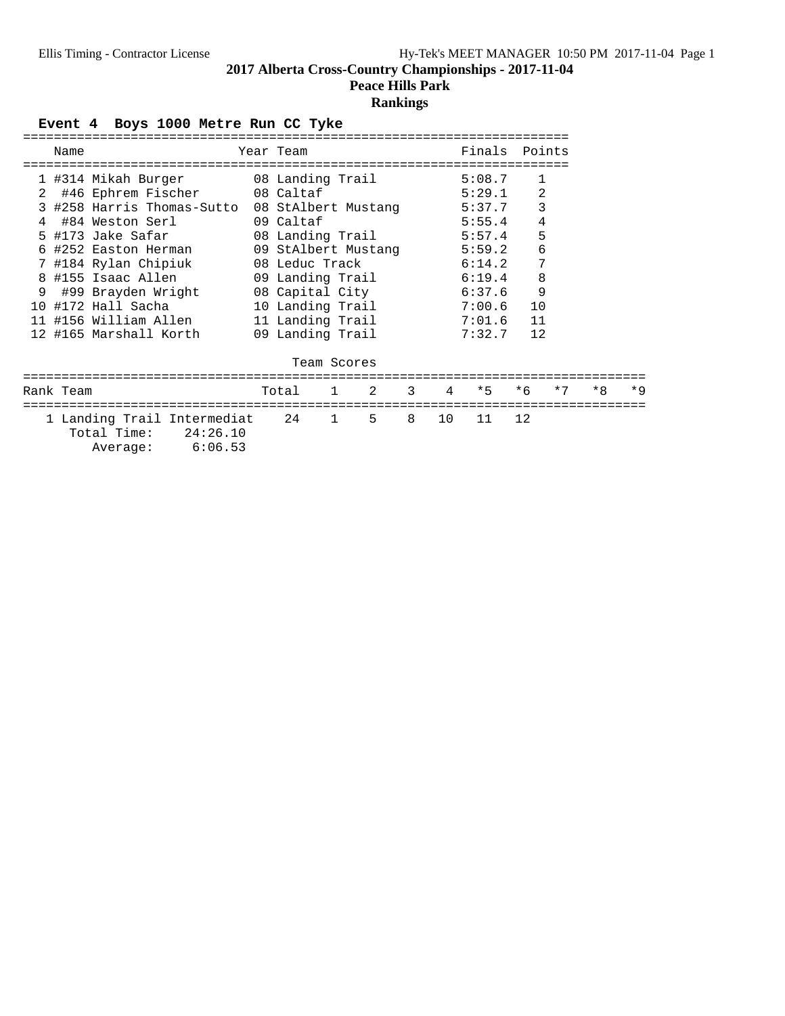**Peace Hills Park**

# **Rankings**

Event 4 Boys 1000 Metre Run CC Tyke

| Name |                                                | Year Team           | Finals Points |              |
|------|------------------------------------------------|---------------------|---------------|--------------|
|      |                                                |                     |               |              |
|      | 1 #314 Mikah Burger 68 Landing Trail           |                     | 5:08.7        | $\mathbf{1}$ |
|      | 2 #46 Ephrem Fischer 08 Caltaf                 |                     | 5:29.1        | 2            |
|      | 3 #258 Harris Thomas-Sutto 08 StAlbert Mustang |                     | 5:37.7        | 3            |
|      | 4 #84 Weston Serl                              | 09 Caltaf           | 5:55.4        | 4            |
|      | 5 #173 Jake Safar                              | 08 Landing Trail    | 5:57.4        | 5            |
|      | 6 #252 Easton Herman                           | 09 StAlbert Mustang | 5:59.2        | 6            |
|      | 7 #184 Rylan Chipiuk                           | 08 Leduc Track      | 6:14.2        | 7            |
|      | 8 #155 Isaac Allen                             | 09 Landing Trail    | 6:19.4        | 8            |
|      | 9 #99 Brayden Wright                           | 08 Capital City     | 6:37.6        | 9            |
|      | 10 #172 Hall Sacha                             | 10 Landing Trail    | 7:00.6        | 10           |
|      | 11 #156 William Allen                          | 11 Landing Trail    | 7:01.6        | 11           |
|      | 12 #165 Marshall Korth                         | 09 Landing Trail    | 7:32.7        | 12           |
|      |                                                | Team Scores         |               |              |

| Rank Team                                                               |                  | Total 1 2 3 4 *5 *6 *7 *8 *9 |  |  |  |  |  |
|-------------------------------------------------------------------------|------------------|------------------------------|--|--|--|--|--|
| 1 Landing Trail Intermediat 24 1 5 8 10 11 12<br>Total Time: $24:26.10$ |                  |                              |  |  |  |  |  |
|                                                                         | Average: 6:06.53 |                              |  |  |  |  |  |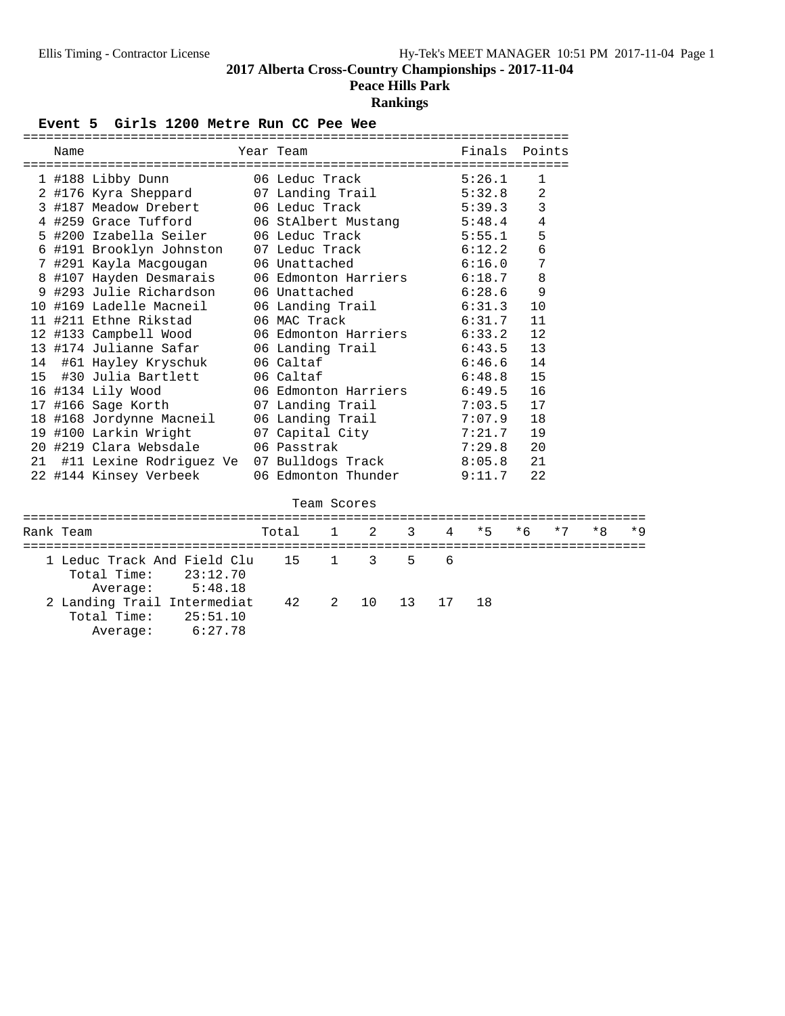# **Peace Hills Park**

## **Rankings**

Event 5 Girls 1200 Metre Run CC Pee Wee

|    | Name      |                                                                               | Year Team        |             |                      |    |    | Finals                      | Points |      |      |  |
|----|-----------|-------------------------------------------------------------------------------|------------------|-------------|----------------------|----|----|-----------------------------|--------|------|------|--|
|    |           | 1 #188 Libby Dunn                                                             | 06 Leduc Track   |             |                      |    |    | 5:26.1                      | 1      |      |      |  |
|    |           | 2 #176 Kyra Sheppard                                                          | 07 Landing Trail |             |                      |    |    | 5:32.8                      | 2      |      |      |  |
|    |           | 3 #187 Meadow Drebert                                                         | 06 Leduc Track   |             |                      |    |    | 5:39.3                      | 3      |      |      |  |
|    |           | 4 #259 Grace Tufford                                                          |                  |             | 06 StAlbert Mustang  |    |    | 5:48.4                      | 4      |      |      |  |
|    |           | 5 #200 Izabella Seiler                                                        | 06 Leduc Track   |             |                      |    |    | 5:55.1                      | 5      |      |      |  |
|    |           | 6 #191 Brooklyn Johnston                                                      | 07 Leduc Track   |             |                      |    |    | 6:12.2                      | 6      |      |      |  |
|    |           | 7 #291 Kayla Macgougan                                                        | 06 Unattached    |             |                      |    |    | 6:16.0                      | 7      |      |      |  |
|    |           | 8 #107 Hayden Desmarais                                                       |                  |             |                      |    |    | 06 Edmonton Harriers 6:18.7 | 8      |      |      |  |
|    |           | 9 #293 Julie Richardson                                                       | 06 Unattached    |             |                      |    |    | 6:28.6                      | 9      |      |      |  |
|    |           | 10 #169 Ladelle Macneil                                                       |                  |             | 06 Landing Trail     |    |    | 6:31.3                      | 10     |      |      |  |
|    |           | 11 #211 Ethne Rikstad                                                         | 06 MAC Track     |             |                      |    |    | 6:31.7                      | 11     |      |      |  |
|    |           | 12 #133 Campbell Wood                                                         |                  |             | 06 Edmonton Harriers |    |    | 6:33.2                      | 12     |      |      |  |
|    |           | 13 #174 Julianne Safar                                                        | 06 Landing Trail |             |                      |    |    | 6:43.5                      | 13     |      |      |  |
|    |           | 14 #61 Hayley Kryschuk                                                        | 06 Caltaf        |             |                      |    |    | 6:46.6                      | 14     |      |      |  |
| 15 |           | #30 Julia Bartlett                                                            | 06 Caltaf        |             |                      |    |    | 6:48.8                      | 15     |      |      |  |
|    |           | 16 #134 Lily Wood                                                             |                  |             |                      |    |    | 06 Edmonton Harriers 6:49.5 | 16     |      |      |  |
|    |           | 17 #166 Sage Korth                                                            | 07 Landing Trail |             |                      |    |    | 7:03.5                      | 17     |      |      |  |
|    |           | 18 #168 Jordynne Macneil                                                      |                  |             |                      |    |    | 06 Landing Trail 7:07.9     | 18     |      |      |  |
|    |           | 19 #100 Larkin Wright                                                         |                  |             | 07 Capital City      |    |    | 7:21.7                      | 19     |      |      |  |
|    |           | 20 #219 Clara Websdale                                                        | 06 Passtrak      |             |                      |    |    | 7:29.8                      | 20     |      |      |  |
|    |           | 21 #11 Lexine Rodriguez Ve 07 Bulldogs Track                                  |                  |             |                      |    |    | 8:05.8                      | 21     |      |      |  |
|    |           | 22 #144 Kinsey Verbeek                                                        |                  |             | 06 Edmonton Thunder  |    |    | 9:11.7                      | 22     |      |      |  |
|    |           |                                                                               |                  | Team Scores |                      |    |    |                             |        |      |      |  |
|    | Rank Team |                                                                               | Total            | 1           | $\mathfrak{D}$       | 3  | 4  | $*5$                        | $*6$   | $*7$ | $*8$ |  |
|    |           |                                                                               |                  |             |                      |    |    |                             |        |      |      |  |
|    |           | 1 Leduc Track And Field Clu<br>Total Time:<br>23:12.70<br>5:48.18<br>Average: | 15               | $\mathbf 1$ | 3                    | 5  | 6  |                             |        |      |      |  |
|    |           | 2 Landing Trail Intermediat<br>Total Time:<br>25:51.10<br>6:27.78<br>Average: | 42               | 2           | 10                   | 13 | 17 | 18                          |        |      |      |  |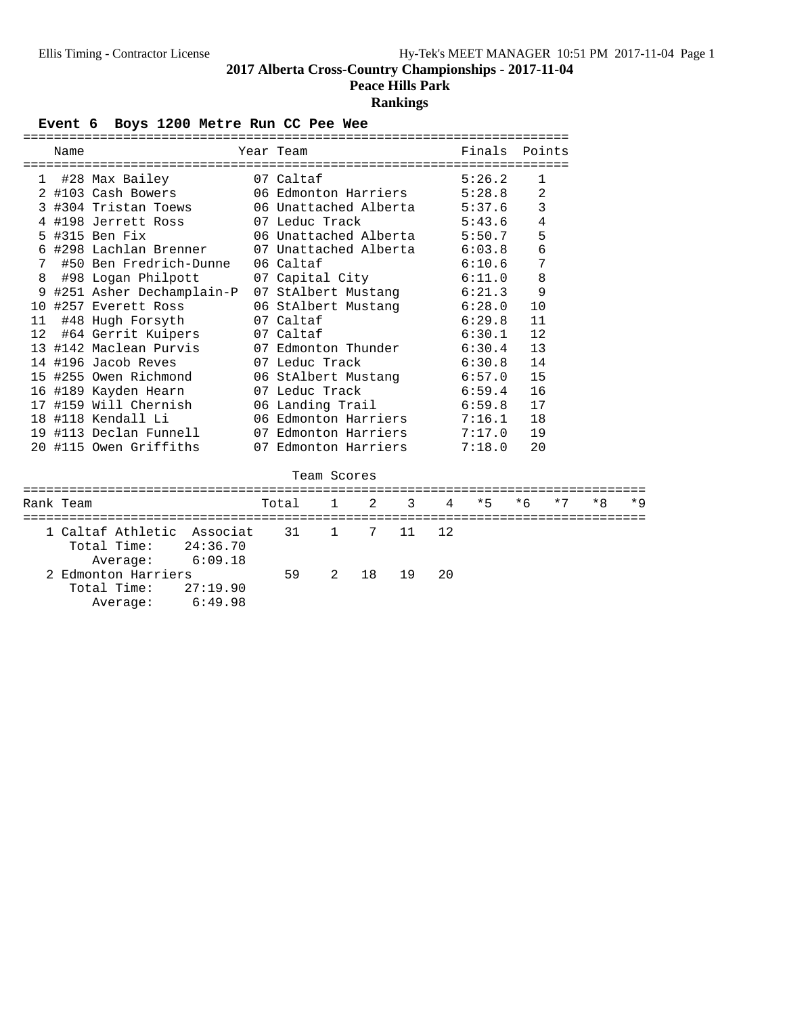Average: 6:49.98

**2017 Alberta Cross-Country Championships - 2017-11-04**

**Peace Hills Park**

## **Rankings**

Event 6 Boys 1200 Metre Run CC Pee Wee

|                   | Name      |                                                                     | ===========<br>Year Team |              |                              |    |                | Finals                        | Points       |      |      |      |
|-------------------|-----------|---------------------------------------------------------------------|--------------------------|--------------|------------------------------|----|----------------|-------------------------------|--------------|------|------|------|
| 1                 |           | ============================<br>#28 Max Bailey                      | 07 Caltaf                |              |                              |    |                | ===================<br>5:26.2 | $\mathbf{1}$ |      |      |      |
|                   |           | 2 #103 Cash Bowers                                                  |                          |              | 06 Edmonton Harriers 5:28.8  |    |                |                               | 2            |      |      |      |
|                   |           | 3 #304 Tristan Toews                                                |                          |              |                              |    |                | 06 Unattached Alberta 5:37.6  | 3            |      |      |      |
|                   |           | 4 #198 Jerrett Ross                                                 | 07 Leduc Track           |              |                              |    |                | 5:43.6                        | 4            |      |      |      |
|                   |           | 5 #315 Ben Fix                                                      |                          |              | 06 Unattached Alberta 5:50.7 |    |                |                               | 5            |      |      |      |
|                   |           | 6 #298 Lachlan Brenner                                              |                          |              | 07 Unattached Alberta 6:03.8 |    |                |                               | 6            |      |      |      |
| 7                 |           | #50 Ben Fredrich-Dunne                                              | 06 Caltaf                |              |                              |    |                | 6:10.6                        | 7            |      |      |      |
| 8                 |           | #98 Logan Philpott                                                  |                          |              | 07 Capital City 6:11.0       |    |                |                               | 8            |      |      |      |
|                   |           | 9 #251 Asher Dechamplain-P                                          |                          |              |                              |    |                | 07 StAlbert Mustang 6:21.3    | 9            |      |      |      |
|                   |           | 10 #257 Everett Ross                                                |                          |              |                              |    |                | 06 StAlbert Mustang 6:28.0    | 10           |      |      |      |
| 11                |           | #48 Hugh Forsyth                                                    | 07 Caltaf                |              |                              |    |                | 6:29.8                        | 11           |      |      |      |
| $12 \overline{ }$ |           | #64 Gerrit Kuipers                                                  | 07 Caltaf                |              |                              |    |                | 6:30.1                        | 12           |      |      |      |
|                   |           | 13 #142 Maclean Purvis                                              |                          |              | 07 Edmonton Thunder          |    |                | 6:30.4                        | 13           |      |      |      |
|                   |           | 14 #196 Jacob Reves                                                 | 07 Leduc Track           |              |                              |    |                | 6:30.8                        | 14           |      |      |      |
|                   |           | 15 #255 Owen Richmond                                               |                          |              |                              |    |                | 06 StAlbert Mustang 6:57.0    | 15           |      |      |      |
|                   |           | 16 #189 Kayden Hearn                                                | 07 Leduc Track           |              |                              |    |                | 6:59.4                        | 16           |      |      |      |
|                   |           | 17 #159 Will Chernish                                               |                          |              |                              |    |                | 06 Landing Trail 6:59.8       | 17           |      |      |      |
|                   |           | 18 #118 Kendall Li                                                  |                          |              |                              |    |                | 06 Edmonton Harriers 7:16.1   | 18           |      |      |      |
|                   |           | 19 #113 Declan Funnell                                              |                          |              | 07 Edmonton Harriers         |    |                | 7:17.0                        | 19           |      |      |      |
|                   |           | 20 #115 Owen Griffiths                                              |                          |              | 07 Edmonton Harriers         |    |                | 7:18.0                        | 20           |      |      |      |
|                   |           |                                                                     |                          |              | Team Scores                  |    |                |                               |              |      |      |      |
|                   | Rank Team |                                                                     | Total                    | $\mathbf{1}$ | $\mathfrak{D}$               | 3  | $\overline{4}$ | $*5$                          | $*6$         | $*7$ | $*8$ | $*9$ |
|                   |           | =====================================<br>1 Caltaf Athletic Associat | 31                       | 1            | $7\overline{ }$              | 11 | 12             |                               |              |      |      |      |
|                   |           | Total Time:<br>24:36.70                                             |                          |              |                              |    |                |                               |              |      |      |      |
|                   |           | 6:09.18<br>Average:                                                 |                          |              |                              |    |                |                               |              |      |      |      |
|                   |           | 2 Edmonton Harriers                                                 | 59                       | 2            | 18                           | 19 | 20             |                               |              |      |      |      |
|                   |           | 27:19.90<br>Total Time:                                             |                          |              |                              |    |                |                               |              |      |      |      |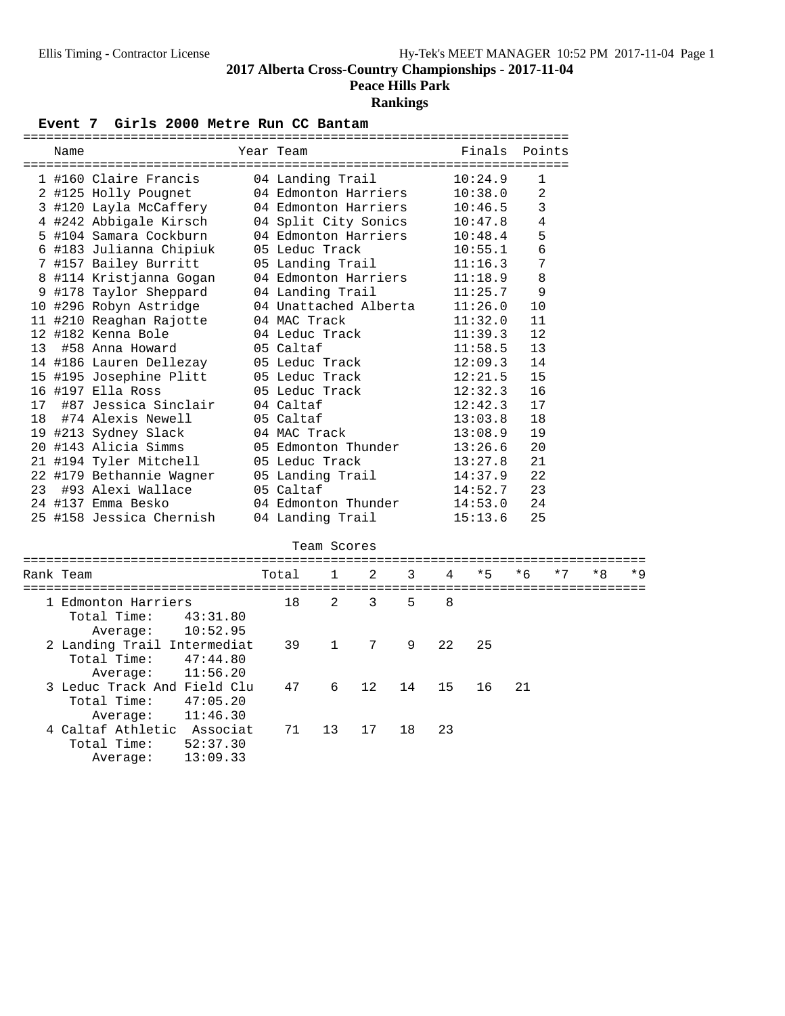**Peace Hills Park**

## **Rankings**

## Event 7 Girls 2000 Metre Run CC Bantam

|    | Name      |                             |          | Year Team             |              |         |    |    | Finals  | Points       |      |    |     |
|----|-----------|-----------------------------|----------|-----------------------|--------------|---------|----|----|---------|--------------|------|----|-----|
|    |           | 1 #160 Claire Francis       |          | 04 Landing Trail      |              |         |    |    | 10:24.9 | $\mathbf{1}$ |      |    |     |
|    |           | 2 #125 Holly Pougnet        |          | 04 Edmonton Harriers  |              |         |    |    | 10:38.0 | 2            |      |    |     |
|    |           | 3 #120 Layla McCaffery      |          | 04 Edmonton Harriers  |              |         |    |    | 10:46.5 | 3            |      |    |     |
|    |           | 4 #242 Abbigale Kirsch      |          | 04 Split City Sonics  |              |         |    |    | 10:47.8 | 4            |      |    |     |
|    |           | 5 #104 Samara Cockburn      |          | 04 Edmonton Harriers  |              |         |    |    | 10:48.4 | 5            |      |    |     |
|    |           | 6 #183 Julianna Chipiuk     |          | 05 Leduc Track        |              |         |    |    | 10:55.1 | 6            |      |    |     |
|    |           | 7 #157 Bailey Burritt       |          | 05 Landing Trail      |              |         |    |    | 11:16.3 | 7            |      |    |     |
|    |           | 8 #114 Kristjanna Gogan     |          | 04 Edmonton Harriers  |              |         |    |    | 11:18.9 | 8            |      |    |     |
|    |           | 9 #178 Taylor Sheppard      |          | 04 Landing Trail      |              |         |    |    | 11:25.7 | 9            |      |    |     |
|    |           | 10 #296 Robyn Astridge      |          | 04 Unattached Alberta |              |         |    |    | 11:26.0 | 10           |      |    |     |
|    |           | 11 #210 Reaghan Rajotte     |          | 04 MAC Track          |              |         |    |    | 11:32.0 | 11           |      |    |     |
|    |           | 12 #182 Kenna Bole          |          | 04 Leduc Track        |              |         |    |    | 11:39.3 | 12           |      |    |     |
| 13 |           | #58 Anna Howard             |          | 05 Caltaf             |              |         |    |    | 11:58.5 | 13           |      |    |     |
|    |           | 14 #186 Lauren Dellezay     |          | 05 Leduc Track        |              |         |    |    | 12:09.3 | 14           |      |    |     |
|    |           | 15 #195 Josephine Plitt     |          | 05 Leduc Track        |              |         |    |    | 12:21.5 | 15           |      |    |     |
|    |           | 16 #197 Ella Ross           |          | 05 Leduc Track        |              |         |    |    | 12:32.3 | 16           |      |    |     |
| 17 |           | #87 Jessica Sinclair        |          | 04 Caltaf             |              |         |    |    | 12:42.3 | 17           |      |    |     |
| 18 |           | #74 Alexis Newell           |          | 05 Caltaf             |              |         |    |    | 13:03.8 | 18           |      |    |     |
|    |           | 19 #213 Sydney Slack        |          | 04 MAC Track          |              |         |    |    | 13:08.9 | 19           |      |    |     |
|    |           | 20 #143 Alicia Simms        |          | 05 Edmonton Thunder   |              |         |    |    | 13:26.6 | 20           |      |    |     |
|    |           | 21 #194 Tyler Mitchell      |          | 05 Leduc Track        |              |         |    |    | 13:27.8 | 21           |      |    |     |
|    |           | 22 #179 Bethannie Wagner    |          | 05 Landing Trail      |              |         |    |    | 14:37.9 | 22           |      |    |     |
| 23 |           | #93 Alexi Wallace           |          | 05 Caltaf             |              |         |    |    | 14:52.7 | 23           |      |    |     |
|    |           | 24 #137 Emma Besko          |          | 04 Edmonton Thunder   |              |         |    |    | 14:53.0 | 24           |      |    |     |
|    |           | 25 #158 Jessica Chernish    |          | 04 Landing Trail      |              |         |    |    | 15:13.6 | 25           |      |    |     |
|    |           |                             |          |                       | Team Scores  |         |    |    |         |              |      |    |     |
|    | Rank Team |                             |          | Total                 | $\mathbf{1}$ | 2       | 3  | 4  | $*5$    | $*6$         | $*7$ | *8 | * 9 |
|    |           | 1 Edmonton Harriers         |          | 18                    | 2            | 3       | 5  | 8  |         |              |      |    |     |
|    |           | Total Time:                 | 43:31.80 |                       |              |         |    |    |         |              |      |    |     |
|    |           | Average:                    | 10:52.95 |                       |              |         |    |    |         |              |      |    |     |
|    |           | 2 Landing Trail Intermediat |          | 39                    | 1            | 7       | 9  | 22 | 25      |              |      |    |     |
|    |           | Total Time:                 | 47:44.80 |                       |              |         |    |    |         |              |      |    |     |
|    |           | Average:                    | 11:56.20 |                       |              |         |    |    |         |              |      |    |     |
|    |           | 3 Leduc Track And Field Clu |          | 47                    | 6            | $12 \,$ | 14 | 15 | 16      | 21           |      |    |     |
|    |           | Total Time:                 | 47:05.20 |                       |              |         |    |    |         |              |      |    |     |
|    |           | Average:                    | 11:46.30 |                       |              |         |    |    |         |              |      |    |     |
|    |           | 4 Caltaf Athletic Associat  |          | 71                    | 13           | 17      | 18 | 23 |         |              |      |    |     |
|    |           | Total Time:                 | 52:37.30 |                       |              |         |    |    |         |              |      |    |     |
|    |           | Average:                    | 13:09.33 |                       |              |         |    |    |         |              |      |    |     |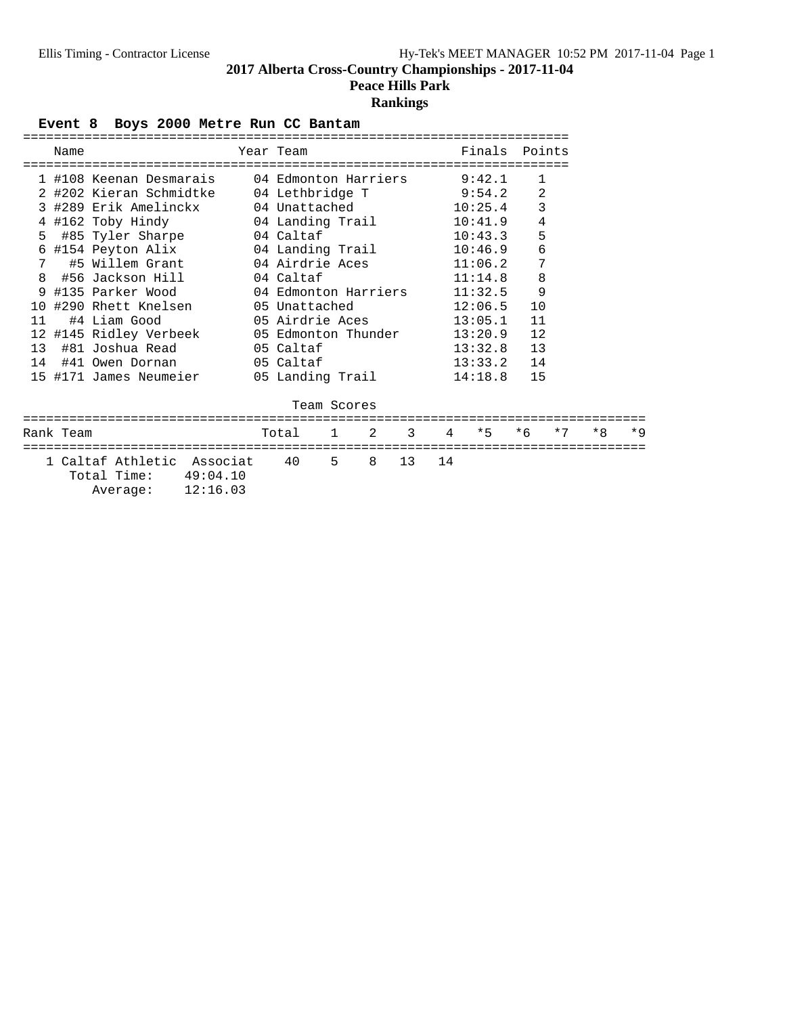**Peace Hills Park**

## **Rankings**

Event 8 Boys 2000 Metre Run CC Bantam

|    | Name      |                                                                                      | Year Team and the Mean and the Sear Team and the Sear Team and the Sear of the Sear |  |  | Finals Points           |                |  |  |
|----|-----------|--------------------------------------------------------------------------------------|-------------------------------------------------------------------------------------|--|--|-------------------------|----------------|--|--|
|    |           |                                                                                      |                                                                                     |  |  | ======================= |                |  |  |
|    |           | 1 #108 Keenan Desmarais     04 Edmonton Harriers     9:42.1                          |                                                                                     |  |  |                         | $\mathbf{1}$   |  |  |
|    |           | 2 #202 Kieran Schmidtke 04 Lethbridge T 9:54.2                                       |                                                                                     |  |  |                         | $\overline{a}$ |  |  |
|    |           | 3 #289 Erik Amelinckx 04 Unattached 10:25.4                                          |                                                                                     |  |  |                         | $\overline{3}$ |  |  |
|    |           | 4 #162 Toby Hindy 04 Landing Trail 10:41.9                                           |                                                                                     |  |  |                         | $\overline{4}$ |  |  |
|    |           | 5 #85 Tyler Sharpe 04 Caltaf                                                         |                                                                                     |  |  | 10:43.3                 | 5              |  |  |
|    |           | 6 #154 Peyton Alix 04 Landing Trail 10:46.9                                          |                                                                                     |  |  |                         | $\epsilon$     |  |  |
|    |           | 7 #5 Willem Grant 04 Airdrie Aces 11:06.2                                            |                                                                                     |  |  |                         | $\overline{7}$ |  |  |
|    |           | 8 #56 Jackson Hill 04 Caltaf                                                         |                                                                                     |  |  | 11:14.8                 | $\,8\,$        |  |  |
|    |           | 9 #135 Parker Wood 04 Edmonton Harriers                                              |                                                                                     |  |  | 11:32.5                 | 9              |  |  |
|    |           |                                                                                      |                                                                                     |  |  |                         |                |  |  |
| 11 |           |                                                                                      |                                                                                     |  |  |                         |                |  |  |
|    |           | 12 #145 Ridley Verbeek 05 Edmonton Thunder 13:20.9 12                                |                                                                                     |  |  |                         |                |  |  |
|    |           |                                                                                      |                                                                                     |  |  | $13:32.8$ 13            |                |  |  |
|    |           |                                                                                      |                                                                                     |  |  | $13:33.2$ 14            |                |  |  |
|    |           | 15 #171 James Neumeier 05 Landing Trail                                              |                                                                                     |  |  | $14:18.8$ 15            |                |  |  |
|    |           |                                                                                      |                                                                                     |  |  |                         |                |  |  |
|    |           |                                                                                      | Team Scores                                                                         |  |  |                         |                |  |  |
|    | Rank Team |                                                                                      | Total 1 2 3 4 *5 *6 *7 *8 *9                                                        |  |  |                         |                |  |  |
|    |           | 1 Caltaf Athletic Associat 40 5 8 13 14<br>Total Time: 49:04.10<br>Average: 12:16.03 |                                                                                     |  |  |                         |                |  |  |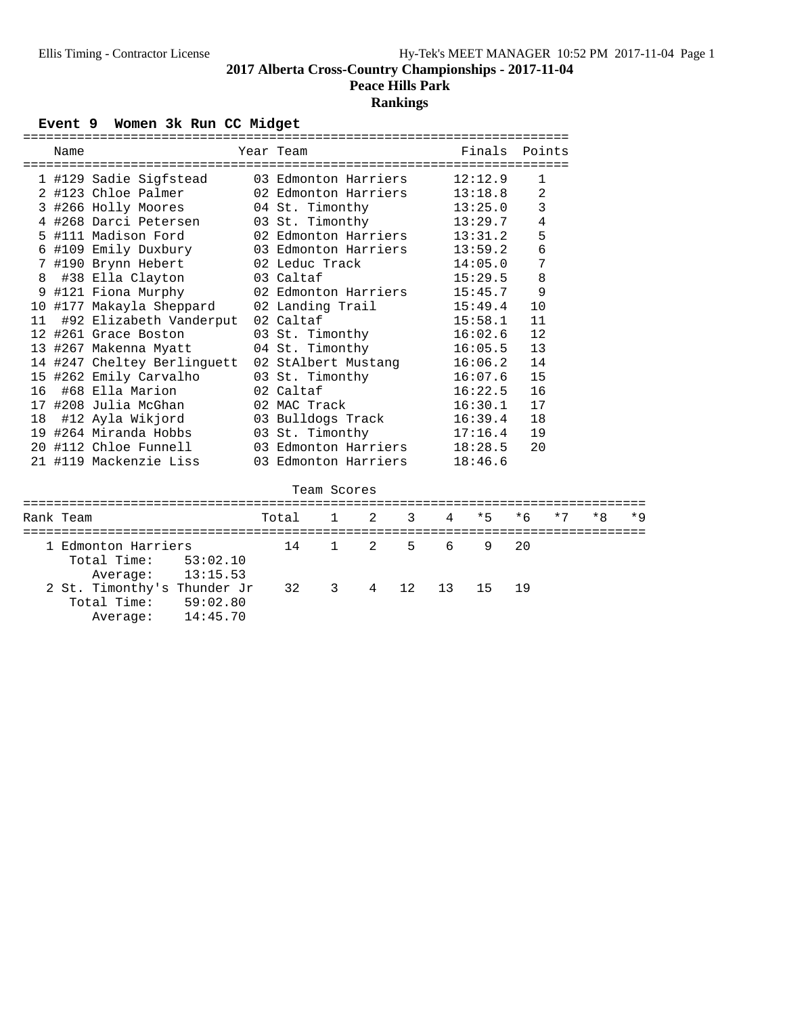# **Peace Hills Park**

# **Rankings**

Event 9 Women 3k Run CC Midget

|    | ========== |                             | ============         |              | ============================== |    |    |                                   |        |      |
|----|------------|-----------------------------|----------------------|--------------|--------------------------------|----|----|-----------------------------------|--------|------|
|    | Name       |                             | Year Team            |              |                                |    |    | Finals                            | Points |      |
|    |            |                             |                      |              |                                |    |    | =============                     |        |      |
|    |            | 1 #129 Sadie Sigfstead      | 03 Edmonton Harriers |              |                                |    |    | 12:12.9                           | 1      |      |
|    |            | 2 #123 Chloe Palmer         | 02 Edmonton Harriers |              |                                |    |    | 13:18.8                           | 2      |      |
|    |            | 3 #266 Holly Moores         | 04 St. Timonthy      |              |                                |    |    | 13:25.0                           | 3      |      |
|    |            | 4 #268 Darci Petersen       | 03 St. Timonthy      |              |                                |    |    | 13:29.7                           | 4      |      |
|    |            | 5 #111 Madison Ford         | 02 Edmonton Harriers |              |                                |    |    | 13:31.2                           | 5      |      |
|    |            | 6 #109 Emily Duxbury        | 03 Edmonton Harriers |              |                                |    |    | 13:59.2                           | 6      |      |
|    |            | 7 #190 Brynn Hebert         | 02 Leduc Track       |              |                                |    |    | 14:05.0                           | 7      |      |
| 8  |            | #38 Ella Clayton            | 03 Caltaf            |              |                                |    |    | 15:29.5                           | 8      |      |
|    |            | 9 #121 Fiona Murphy         | 02 Edmonton Harriers |              |                                |    |    | 15:45.7                           | 9      |      |
|    |            | 10 #177 Makayla Sheppard    | 02 Landing Trail     |              |                                |    |    | 15:49.4                           | 10     |      |
| 11 |            | #92 Elizabeth Vanderput     | 02 Caltaf            |              |                                |    |    | 15:58.1                           | 11     |      |
|    |            | 12 #261 Grace Boston        | 03 St. Timonthy      |              |                                |    |    | 16:02.6                           | 12     |      |
|    |            | 13 #267 Makenna Myatt       | 04 St. Timonthy      |              |                                |    |    | 16:05.5                           | 13     |      |
|    |            | 14 #247 Cheltey Berlinguett | 02 StAlbert Mustang  |              |                                |    |    | 16:06.2                           | 14     |      |
|    |            | 15 #262 Emily Carvalho      | 03 St. Timonthy      |              |                                |    |    | 16:07.6                           | 15     |      |
| 16 |            | #68 Ella Marion             | 02 Caltaf            |              |                                |    |    | 16:22.5                           | 16     |      |
|    |            | 17 #208 Julia McGhan        | 02 MAC Track         |              |                                |    |    | 16:30.1                           | 17     |      |
| 18 |            | #12 Ayla Wikjord            | 03 Bulldogs Track    |              |                                |    |    | 16:39.4                           | 18     |      |
|    |            | 19 #264 Miranda Hobbs       | 03 St. Timonthy      |              |                                |    |    | 17:16.4                           | 19     |      |
|    |            | 20 #112 Chloe Funnell       | 03 Edmonton Harriers |              |                                |    |    | 18:28.5                           | 20     |      |
|    |            | 21 #119 Mackenzie Liss      | 03 Edmonton Harriers |              |                                |    |    | 18:46.6                           |        |      |
|    |            |                             |                      |              |                                |    |    |                                   |        |      |
|    |            |                             | Team Scores          |              |                                |    |    |                                   |        |      |
|    |            | ---------------------       |                      |              |                                |    |    | -------------------------<br>$*5$ |        | $*7$ |
|    | Rank Team  |                             | Total                | 1            | 2                              | 3  | 4  |                                   | $*6$   |      |
|    |            | 1 Edmonton Harriers         | 14                   | $\mathbf{1}$ | 2                              | 5  | 6  | 9                                 | 20     |      |
|    |            | Total Time:<br>53:02.10     |                      |              |                                |    |    |                                   |        |      |
|    |            | 13:15.53<br>Average:        |                      |              |                                |    |    |                                   |        |      |
|    |            | 2 St. Timonthy's Thunder Jr | 32                   | 3            | 4                              | 12 | 13 | 15                                | 19     |      |
|    |            | Total Time:<br>59:02.80     |                      |              |                                |    |    |                                   |        |      |
|    |            | 14:45.70                    |                      |              |                                |    |    |                                   |        |      |
|    |            | Average:                    |                      |              |                                |    |    |                                   |        |      |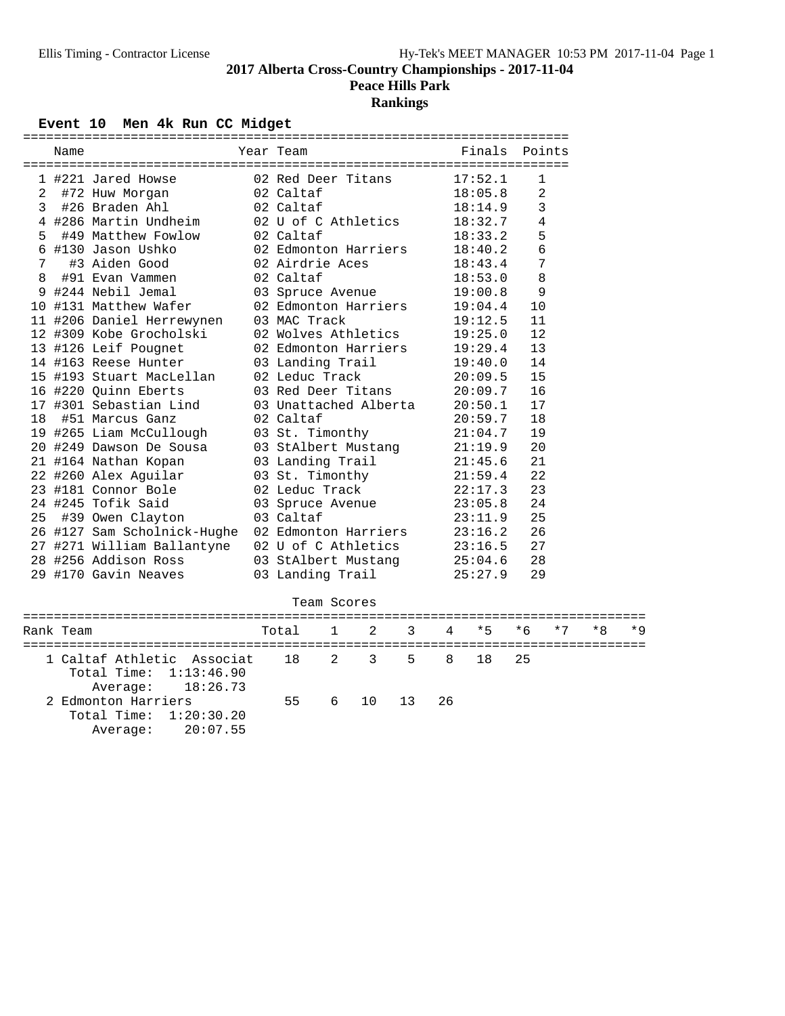**Peace Hills Park**

# **Rankings**

Event 10 Men 4k Run CC Midget

| Name |                                           | ======================================<br>Year Team       | Finals Points |                |
|------|-------------------------------------------|-----------------------------------------------------------|---------------|----------------|
|      |                                           |                                                           |               |                |
|      |                                           | 1 #221 Jared Howse 62 Red Deer Titans 17:52.1             |               | 1              |
|      | 2 #72 Huw Morgan 02 Caltaf                |                                                           | 18:05.8       | $\overline{2}$ |
|      | 3 #26 Braden Ahl 02 Caltaf                |                                                           | 18:14.9       | 3              |
|      |                                           | 4 #286 Martin Undheim 02 U of C Athletics                 | 18:32.7       | 4              |
|      | 5 #49 Matthew Fowlow 02 Caltaf            |                                                           | 18:33.2       | 5              |
|      |                                           | 6 #130 Jason Ushko 62 Edmonton Harriers                   | 18:40.2       | 6              |
|      | 7 #3 Aiden Good                           | 02 Airdrie Aces                                           | 18:43.4       | 7              |
|      | 8 #91 Evan Vammen 02 Caltaf               |                                                           | 18:53.0       | 8              |
|      |                                           | 9 #244 Nebil Jemal 03 Spruce Avenue                       | 19:00.8       | 9              |
|      |                                           | 10 #131 Matthew Wafer 02 Edmonton Harriers                | 19:04.4       | 10             |
|      | 11 #206 Daniel Herrewynen    03 MAC Track |                                                           | 19:12.5       | 11             |
|      |                                           | 12 #309 Kobe Grocholski 02 Wolves Athletics               | 19:25.0       | 12             |
|      |                                           | 13 #126 Leif Pougnet                 02 Edmonton Harriers | 19:29.4       | 13             |
|      | 14 #163 Reese Hunter 03 Landing Trail     |                                                           | 19:40.0       | 14             |
|      |                                           | 15 #193 Stuart MacLellan     02 Leduc Track               | 20:09.5       | 15             |
|      |                                           | 16 #220 Quinn Eberts 03 Red Deer Titans                   | 20:09.7       | 16             |
|      |                                           | 17 #301 Sebastian Lind     03 Unattached Alberta          | 20:50.1       | 17             |
|      | 18 #51 Marcus Ganz 02 Caltaf              |                                                           | 20:59.7       | 18             |
|      |                                           | 19 #265 Liam McCullough 03 St. Timonthy                   | 21:04.7       | 19             |
|      |                                           | 20 #249 Dawson De Sousa 103 StAlbert Mustang              | 21:19.9       | 20             |
|      | 21 #164 Nathan Kopan                      | 03 Landing Trail                                          | 21:45.6       | 21             |
|      | 22 #260 Alex Aguilar                      | 03 St. Timonthy                                           | 21:59.4       | 22             |
|      |                                           | 23 #181 Connor Bole               02 Leduc Track          | 22:17.3       | 23             |
|      | 24 #245 Tofik Said                        | 03 Spruce Avenue                                          | 23:05.8       | 24             |
|      | 25 #39 Owen Clayton                       | 03 Caltaf                                                 | 23:11.9       | 25             |
|      |                                           | 26 #127 Sam Scholnick-Hughe 02 Edmonton Harriers          | 23:16.2       | 26             |
|      |                                           | 27 #271 William Ballantyne 02 U of C Athletics            | 23:16.5       | 27             |
|      |                                           | 28 #256 Addison Ross 03 StAlbert Mustang 25:04.6          |               | 28             |
|      | 29 #170 Gavin Neaves                      | 03 Landing Trail                                          | 25:27.9       | 29             |
|      |                                           |                                                           |               |                |

|                                                                                            |                        | Team Scores |               |  |  |           |  |
|--------------------------------------------------------------------------------------------|------------------------|-------------|---------------|--|--|-----------|--|
| Rank Team                                                                                  | Total 1 2 3 4 *5 *6 *7 |             |               |  |  | $*8$ $*9$ |  |
| 1 Caltaf Athletic Associat 18 2 3 5 8 18 25<br>Total Time: 1:13:46.90<br>Average: 18:26.73 |                        |             |               |  |  |           |  |
| 2 Edmonton Harriers<br>Total Time: $1:20:30.20$<br>Average: 20:07.55                       |                        |             | 55 6 10 13 26 |  |  |           |  |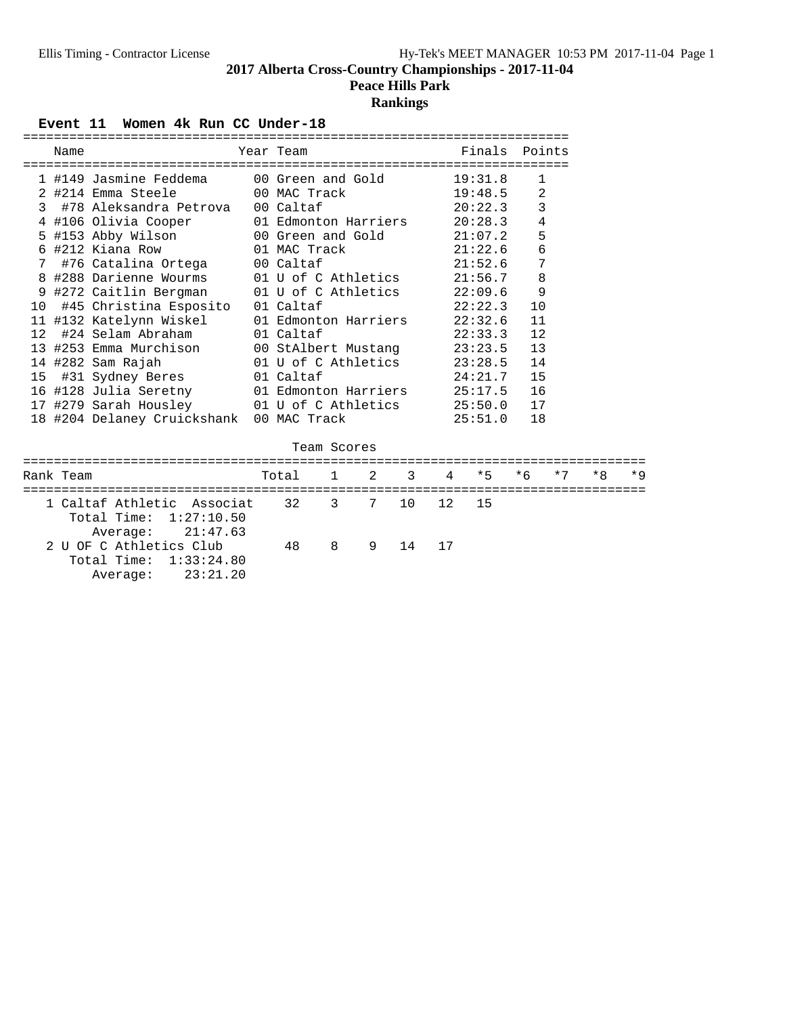# **Peace Hills Park**

## **Rankings**

#### Event 11 Women 4k Run CC Under-18

|              | Name      |                                                                        |                      |             |   |    |       | Year Team <b>Example 19 Finals</b> Points |              |      |      |      |
|--------------|-----------|------------------------------------------------------------------------|----------------------|-------------|---|----|-------|-------------------------------------------|--------------|------|------|------|
|              |           | 1 #149 Jasmine Feddema      00 Green and Gold                          |                      |             |   |    |       | 19:31.8                                   | 1            |      |      |      |
|              |           | 2 #214 Emma Steele 60 MAC Track                                        |                      |             |   |    |       | 19:48.5                                   | 2            |      |      |      |
|              |           | 3 #78 Aleksandra Petrova 00 Caltaf                                     |                      |             |   |    |       | 20:22.3                                   | $\mathbf{3}$ |      |      |      |
|              |           | 4 #106 Olivia Cooper 01 Edmonton Harriers                              |                      |             |   |    |       | 20:28.3                                   | $\bf 4$      |      |      |      |
|              |           | 5 #153 Abby Wilson 00 Green and Gold 21:07.2                           |                      |             |   |    |       |                                           | 5            |      |      |      |
|              |           |                                                                        |                      |             |   |    |       |                                           | $\epsilon$   |      |      |      |
|              |           | 7 #76 Catalina Ortega 00 Caltaf                                        |                      |             |   |    |       | 21:52.6                                   | 7            |      |      |      |
|              |           | 8 #288 Darienne Wourms 01 U of C Athletics                             |                      |             |   |    |       | 21:56.7                                   | 8            |      |      |      |
|              |           | 9 #272 Caitlin Bergman 01 U of C Athletics 22:09.6                     |                      |             |   |    |       |                                           | 9            |      |      |      |
|              |           | 10 #45 Christina Esposito                                              | 01 Caltaf            |             |   |    |       | 22:22.3                                   | 10           |      |      |      |
|              |           | 11 #132 Katelynn Wiskel                                                | 01 Edmonton Harriers |             |   |    |       | 22:32.6                                   | 11           |      |      |      |
| $12^{\circ}$ |           | #24 Selam Abraham                                                      | 01 Caltaf            |             |   |    |       | 22:33.3                                   | 12           |      |      |      |
|              |           | 13 #253 Emma Murchison 00 StAlbert Mustang 23:23.5                     |                      |             |   |    |       |                                           | 13           |      |      |      |
|              |           | 14 #282 Sam Rajah                                                      |                      |             |   |    |       | 01 U of C Athletics $23:28.5$             | 14           |      |      |      |
|              |           | 15 #31 Sydney Beres                                                    | 01 Caltaf            |             |   |    |       | 24:21.7                                   | 15           |      |      |      |
|              |           | 16 #128 Julia Seretny                                                  | 01 Edmonton Harriers |             |   |    |       | 25:17.5                                   | 16           |      |      |      |
|              |           | 17 #279 Sarah Housley 01 U of C Athletics 25:50.0 17                   |                      |             |   |    |       |                                           |              |      |      |      |
|              |           | 18 #204 Delaney Cruickshank                                            | 00 MAC Track         |             |   |    |       | 25:51.0                                   | 18           |      |      |      |
|              |           |                                                                        |                      | Team Scores |   |    |       |                                           |              |      |      |      |
|              |           |                                                                        |                      |             |   |    |       |                                           |              |      |      |      |
|              | Rank Team |                                                                        | Total 1              |             |   |    | 2 3 4 | $*5$                                      | $*6$         | $*7$ | $*8$ | $*9$ |
|              |           |                                                                        |                      |             |   |    |       |                                           |              |      |      |      |
|              |           | 1 Caltaf Athletic Associat<br>Total Time: 1:27:10.50                   |                      | 32 3        | 7 | 10 | 12 15 |                                           |              |      |      |      |
|              |           | Average: 21:47.63<br>2 U OF C Athletics Club<br>Total Time: 1:33:24.80 | 48                   | 8           | 9 | 14 | 17    |                                           |              |      |      |      |

Average: 23:21.20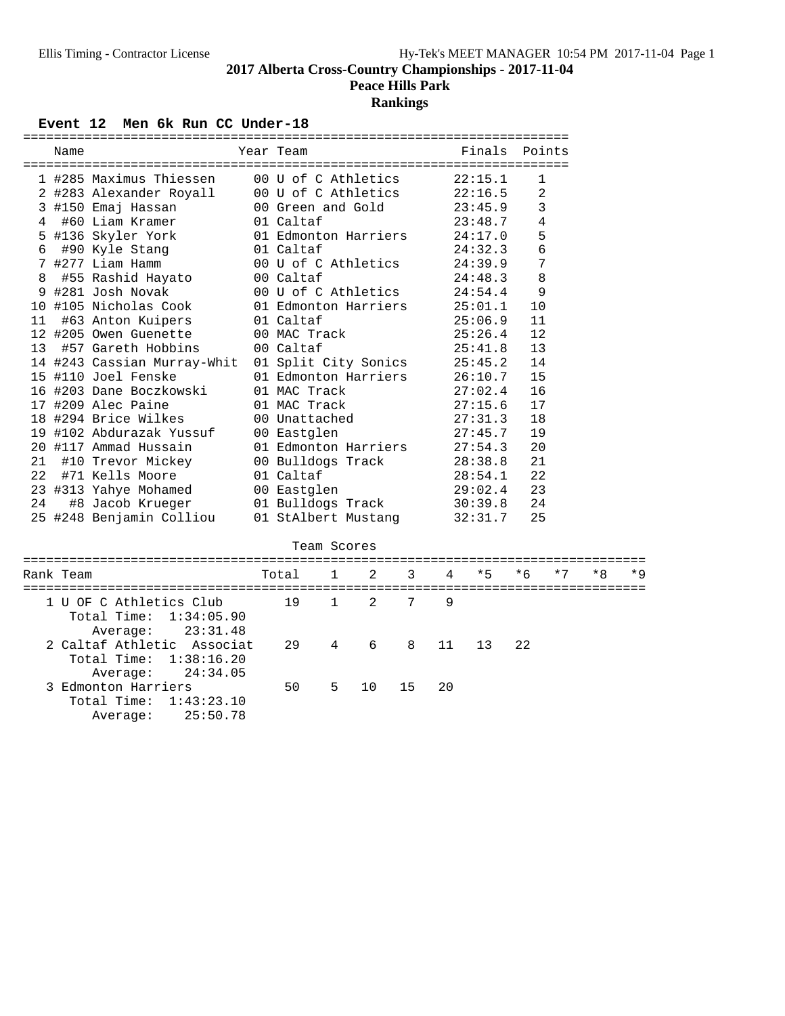**Peace Hills Park**

# **Rankings**

## Event 12 Men 6k Run CC Under-18

|    | Name      | =========================   | Year Team            |              |             |                |    | Finals  | Points       |      |      |      |
|----|-----------|-----------------------------|----------------------|--------------|-------------|----------------|----|---------|--------------|------|------|------|
|    |           | 1 #285 Maximus Thiessen     | 00 U of C Athletics  |              |             |                |    | 22:15.1 | $\mathbf{1}$ |      |      |      |
|    |           | 2 #283 Alexander Royall     | 00 U of C Athletics  |              |             |                |    | 22:16.5 | 2            |      |      |      |
|    |           | 3 #150 Emaj Hassan          | 00 Green and Gold    |              |             |                |    | 23:45.9 | 3            |      |      |      |
| 4  |           | #60 Liam Kramer             | 01 Caltaf            |              |             |                |    | 23:48.7 | 4            |      |      |      |
|    |           | 5 #136 Skyler York          | 01 Edmonton Harriers |              |             |                |    | 24:17.0 | 5            |      |      |      |
| 6  |           | #90 Kyle Stang              | 01 Caltaf            |              |             |                |    | 24:32.3 | 6            |      |      |      |
|    |           | 7 #277 Liam Hamm            | 00 U of C Athletics  |              |             |                |    | 24:39.9 | 7            |      |      |      |
| 8  |           | #55 Rashid Hayato           | 00 Caltaf            |              |             |                |    | 24:48.3 | 8            |      |      |      |
|    |           | 9 #281 Josh Novak           | 00 U of C Athletics  |              |             |                |    | 24:54.4 | 9            |      |      |      |
|    |           | 10 #105 Nicholas Cook       | 01 Edmonton Harriers |              |             |                |    | 25:01.1 | 10           |      |      |      |
| 11 |           | #63 Anton Kuipers           | 01 Caltaf            |              |             |                |    | 25:06.9 | 11           |      |      |      |
|    |           | 12 #205 Owen Guenette       | 00 MAC Track         |              |             |                |    | 25:26.4 | 12           |      |      |      |
| 13 |           | #57 Gareth Hobbins          | 00 Caltaf            |              |             |                |    | 25:41.8 | 13           |      |      |      |
|    |           | 14 #243 Cassian Murray-Whit | 01 Split City Sonics |              |             |                |    | 25:45.2 | 14           |      |      |      |
|    |           | 15 #110 Joel Fenske         | 01 Edmonton Harriers |              |             |                |    | 26:10.7 | 15           |      |      |      |
|    |           | 16 #203 Dane Boczkowski     | 01 MAC Track         |              |             |                |    | 27:02.4 | 16           |      |      |      |
|    |           | 17 #209 Alec Paine          | 01 MAC Track         |              |             |                |    | 27:15.6 | 17           |      |      |      |
|    |           | 18 #294 Brice Wilkes        | 00 Unattached        |              |             |                |    | 27:31.3 | 18           |      |      |      |
|    |           | 19 #102 Abdurazak Yussuf    | 00 Eastglen          |              |             |                |    | 27:45.7 | 19           |      |      |      |
|    |           | 20 #117 Ammad Hussain       | 01 Edmonton Harriers |              |             |                |    | 27:54.3 | 20           |      |      |      |
| 21 |           | #10 Trevor Mickey           | 00 Bulldogs Track    |              |             |                |    | 28:38.8 | 21           |      |      |      |
| 22 |           | #71 Kells Moore             | 01 Caltaf            |              |             |                |    | 28:54.1 | 22           |      |      |      |
|    |           | 23 #313 Yahye Mohamed       | 00 Eastglen          |              |             |                |    | 29:02.4 | 23           |      |      |      |
| 24 |           | #8 Jacob Krueger            | 01 Bulldogs Track    |              |             |                |    | 30:39.8 | 24           |      |      |      |
|    |           | 25 #248 Benjamin Colliou    | 01 StAlbert Mustang  |              |             |                |    | 32:31.7 | 25           |      |      |      |
|    |           |                             |                      |              | Team Scores |                |    |         |              |      |      |      |
|    |           |                             |                      |              |             |                |    |         |              |      |      |      |
|    | Rank Team |                             | Total                | $\mathbf{1}$ | 2           | 3              | 4  | $*5$    | $*6$         | $*7$ | $*8$ | $*9$ |
|    |           | 1 U OF C Athletics Club     | 19                   | $\mathbf{1}$ | 2           | $7\phantom{.}$ | 9  |         |              |      |      |      |
|    |           | Total Time:<br>1:34:05.90   |                      |              |             |                |    |         |              |      |      |      |
|    |           | 23:31.48<br>Average:        |                      |              |             |                |    |         |              |      |      |      |
|    |           | 2 Caltaf Athletic Associat  | 29                   | 4            | 6           | 8              | 11 | 13      | 22           |      |      |      |
|    |           | Total Time:<br>1:38:16.20   |                      |              |             |                |    |         |              |      |      |      |
|    |           | 24:34.05<br>Average:        |                      |              |             |                |    |         |              |      |      |      |
|    |           | 3 Edmonton Harriers         | 50                   | 5            | 10          | 15             | 20 |         |              |      |      |      |
|    |           | Total Time:<br>1:43:23.10   |                      |              |             |                |    |         |              |      |      |      |
|    |           | 25:50.78<br>Average:        |                      |              |             |                |    |         |              |      |      |      |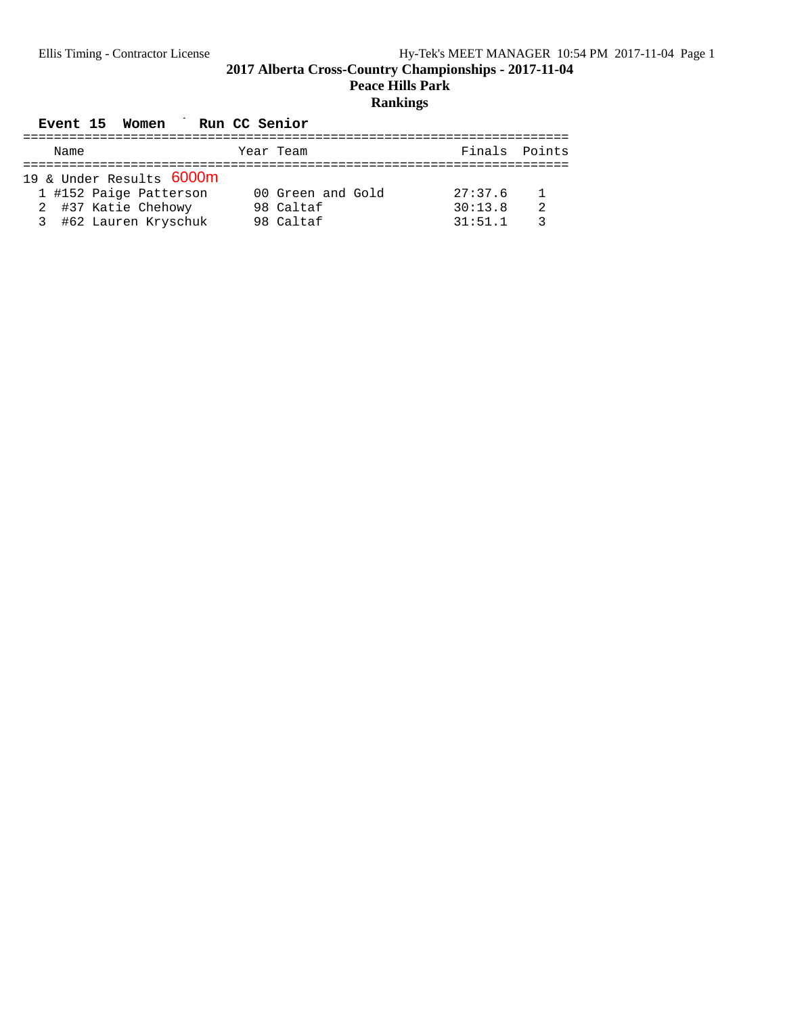#### **Peace Hills Park**

# **Rankings**

## Event 15 Women Run CC Senior

| Name                     | Year Team         | Finals Points |  |
|--------------------------|-------------------|---------------|--|
|                          |                   |               |  |
| 19 & Under Results 6000m |                   |               |  |
| 1 #152 Paige Patterson   | 00 Green and Gold | 27:37.6       |  |
| 2 #37 Katie Chehowy      | 98 Caltaf         | 30:13.8       |  |
| 3 #62 Lauren Kryschuk    | 98 Caltaf         | 31:51.1       |  |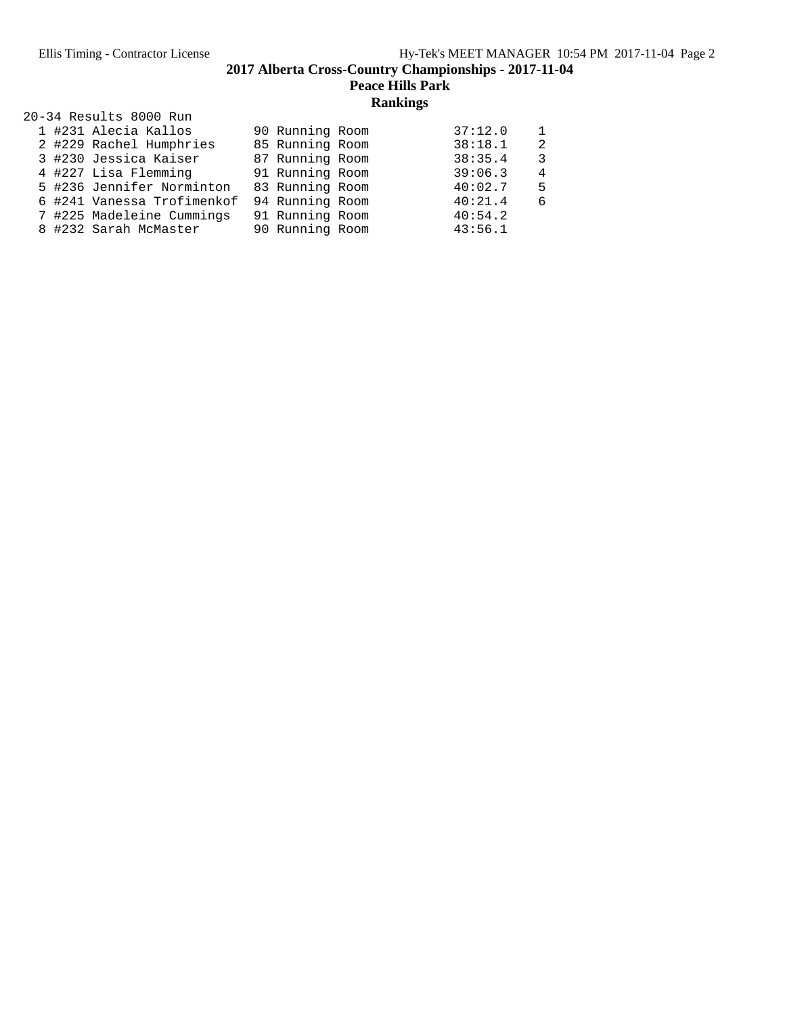**Peace Hills Park**

# **Rankings**

|  | 20-34 Results 8000 Run     |                 |         |               |
|--|----------------------------|-----------------|---------|---------------|
|  | 1 #231 Alecia Kallos       | 90 Running Room | 37:12.0 | 1.            |
|  | 2 #229 Rachel Humphries    | 85 Running Room | 38:18.1 | $\mathcal{L}$ |
|  | 3 #230 Jessica Kaiser      | 87 Running Room | 38:35.4 | 3             |
|  | 4 #227 Lisa Flemming       | 91 Running Room | 39:06.3 | 4             |
|  | 5 #236 Jennifer Norminton  | 83 Running Room | 40:02.7 | 5             |
|  | 6 #241 Vanessa Trofimenkof | 94 Running Room | 40:21.4 | 6             |
|  | 7 #225 Madeleine Cummings  | 91 Running Room | 40:54.2 |               |
|  | 8 #232 Sarah McMaster      | 90 Running Room | 43:56.1 |               |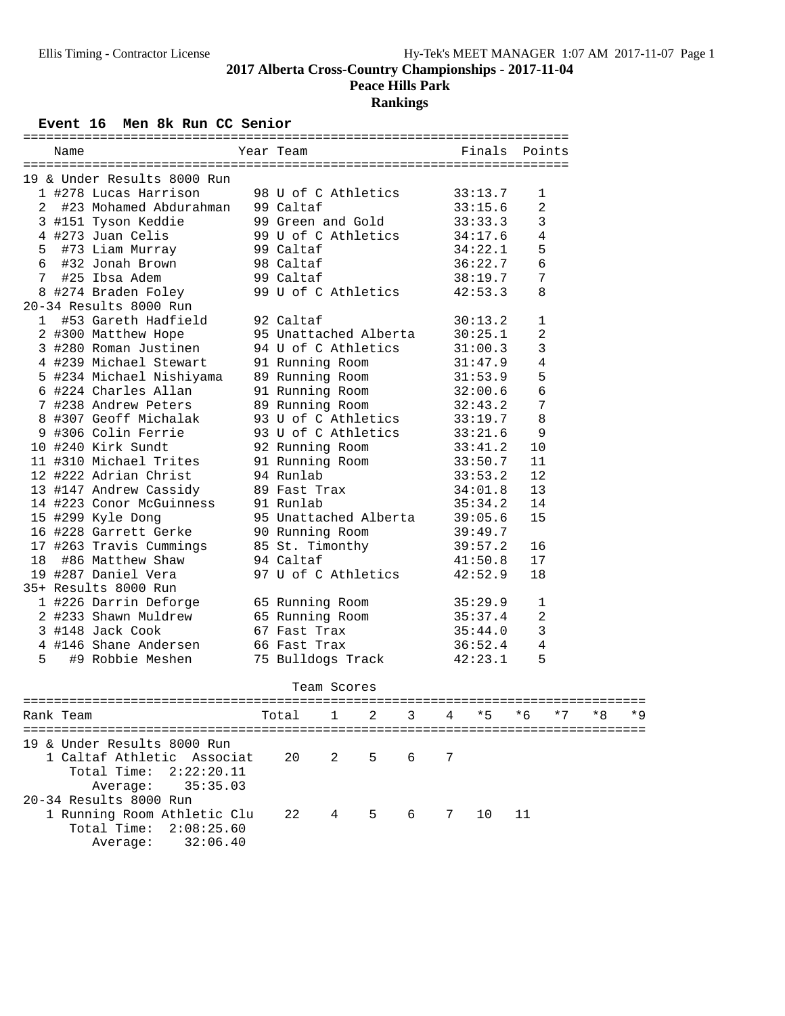**Peace Hills Park**

# **Rankings**

## Event 16 Men 8k Run CC Senior

| Name                   |                                                                                                                                                                      | Year Team                                                           |                         | Finals Points |   |                    |                |                |      |    |     |
|------------------------|----------------------------------------------------------------------------------------------------------------------------------------------------------------------|---------------------------------------------------------------------|-------------------------|---------------|---|--------------------|----------------|----------------|------|----|-----|
|                        | 19 & Under Results 8000 Run                                                                                                                                          |                                                                     |                         |               |   |                    |                |                |      |    |     |
|                        | 1 #278 Lucas Harrison 98 U of C Athletics 33:13.7<br>2 #23 Mohamed Abdurahman 99 Caltaf 33:15.6                                                                      |                                                                     |                         |               |   |                    |                | 1              |      |    |     |
|                        |                                                                                                                                                                      |                                                                     |                         |               |   |                    |                | 2              |      |    |     |
|                        | $3$ #151 Tyson Keddie $99$ Green and Gold $33:33.3$                                                                                                                  |                                                                     |                         |               |   |                    |                | 3              |      |    |     |
|                        | 4 #273 Juan Celis 99 U of C Athletics 34:17.6                                                                                                                        |                                                                     |                         |               |   |                    |                | 4              |      |    |     |
|                        | 5 #73 Liam Murray 99 Caltaf                                                                                                                                          |                                                                     |                         |               |   |                    | 34:22.1        | 5              |      |    |     |
|                        | 6 #32 Jonah Brown 98 Caltaf                                                                                                                                          |                                                                     |                         |               |   |                    | 36:22.7        | 6              |      |    |     |
|                        |                                                                                                                                                                      |                                                                     |                         |               |   |                    | 38:19.7        | $\overline{7}$ |      |    |     |
|                        |                                                                                                                                                                      |                                                                     |                         |               |   |                    | 42:53.3        | 8              |      |    |     |
|                        | 7 #25 Ibsa Adem 99 Caltaf<br>8 #274 Braden Foley 99 U of C Athletics<br>20-34 Results 8000 Run                                                                       |                                                                     |                         |               |   |                    |                |                |      |    |     |
|                        | 1 #53 Gareth Hadfield 92 Caltaf                                                                                                                                      |                                                                     |                         |               |   |                    | 30:13.2        | $\mathbf{1}$   |      |    |     |
|                        | 2 #300 Matthew Hope 95 Unattached Alberta                                                                                                                            |                                                                     |                         |               |   |                    | 30:25.1        | 2              |      |    |     |
|                        | 3 #280 Roman Justinen 94 U of C Athletics                                                                                                                            |                                                                     |                         |               |   |                    | 31:00.3        | $\mathbf{3}$   |      |    |     |
|                        |                                                                                                                                                                      |                                                                     |                         |               |   |                    |                | $\overline{4}$ |      |    |     |
|                        | 4 #239 Michael Stewart 91 Running Room 31:47.9<br>5 #234 Michael Nishiyama 89 Running Room 31:53.9<br>6 #224 Charles Allan 91 Running Room 32:00.6                   |                                                                     |                         |               |   |                    |                | 5              |      |    |     |
|                        |                                                                                                                                                                      |                                                                     |                         |               |   |                    |                | 6              |      |    |     |
|                        | 7 #238 Andrew Peters 89 Running Room 32:43.2                                                                                                                         |                                                                     |                         |               |   |                    |                | 7              |      |    |     |
|                        | 8 #307 Geoff Michalak 93 U of C Athletics 33:19.7                                                                                                                    |                                                                     |                         |               |   |                    |                | 8              |      |    |     |
|                        | 9 #306 Colin Ferrie 93 U of C Athletics 33:21.6                                                                                                                      |                                                                     |                         |               |   |                    |                | 9              |      |    |     |
| 10 #240 Kirk Sundt     |                                                                                                                                                                      |                                                                     |                         |               |   |                    |                | 10             |      |    |     |
| 11 #310 Michael Trites |                                                                                                                                                                      | 92 Running Room 33:41.2<br>91 Running Room 33:50.7<br>04 Burles     |                         |               |   |                    |                | 11             |      |    |     |
|                        | 12 #222 Adrian Christ 94 Runlab                                                                                                                                      |                                                                     |                         |               |   |                    | 33:53.2        | 12             |      |    |     |
|                        | 13 #147 Andrew Cassidy 89 Fast Trax                                                                                                                                  |                                                                     |                         |               |   |                    | 34:01.8        | 13             |      |    |     |
|                        | 14 #223 Conor McGuinness 91 Runlab                                                                                                                                   |                                                                     | $\mathbf{a} \mathbf{x}$ |               |   |                    | 35:34.2        | 14             |      |    |     |
|                        |                                                                                                                                                                      |                                                                     |                         |               |   |                    |                | 15             |      |    |     |
|                        | 15 #299 Kyle Dong 95 Unattached Alberta 39:05.6                                                                                                                      |                                                                     |                         |               |   |                    |                |                |      |    |     |
|                        |                                                                                                                                                                      |                                                                     |                         |               |   |                    |                | 16             |      |    |     |
|                        |                                                                                                                                                                      |                                                                     |                         |               |   |                    |                | 17             |      |    |     |
|                        | 16 #228 Garrett Gerke<br>17 #263 Travis Cummings 85 St. Timonthy 39:49.7<br>18 #86 Matthew Shaw 94 Caltaf 41:50.8<br>19 #287 Daniel Vera 97 U of C Athletics 42:52.9 |                                                                     |                         |               |   |                    |                | 18             |      |    |     |
| 35+ Results 8000 Run   |                                                                                                                                                                      |                                                                     |                         |               |   |                    |                |                |      |    |     |
|                        |                                                                                                                                                                      |                                                                     |                         |               |   |                    |                | 1              |      |    |     |
|                        | 1 #226 Darrin Deforge 65 Running Room 35:29.9                                                                                                                        |                                                                     |                         |               |   |                    |                | 2              |      |    |     |
|                        |                                                                                                                                                                      | 2 #233 Shawn Muldrew 65 Running Room                                |                         |               |   | 35:37.4<br>35:44.0 | $\overline{3}$ |                |      |    |     |
|                        |                                                                                                                                                                      | 3 #148 Jack Cook 67 Fast Trax<br>4 #146 Shane Andersen 66 Fast Trax |                         |               |   |                    | 36:52.4        | 4              |      |    |     |
| 5                      | #9 Robbie Meshen                                                                                                                                                     | 75 Bulldogs Track 42:23.1                                           |                         |               |   |                    |                | 5              |      |    |     |
|                        |                                                                                                                                                                      |                                                                     |                         |               |   |                    |                |                |      |    |     |
|                        |                                                                                                                                                                      |                                                                     | Team Scores             |               |   |                    |                |                |      |    |     |
| Rank Team              |                                                                                                                                                                      | Total                                                               | 1                       | 2             | 3 |                    | * 5            | * 6            | $*7$ | *8 |     |
|                        |                                                                                                                                                                      |                                                                     |                         |               |   |                    |                |                |      |    | * 9 |
|                        | 19 & Under Results 8000 Run                                                                                                                                          |                                                                     |                         |               |   |                    |                |                |      |    |     |
|                        | 1 Caltaf Athletic Associat                                                                                                                                           | 20                                                                  | 2                       | 5             | 6 | 7                  |                |                |      |    |     |
| Total Time:            | 2:22:20.11                                                                                                                                                           |                                                                     |                         |               |   |                    |                |                |      |    |     |
| Average:               | 35:35.03                                                                                                                                                             |                                                                     |                         |               |   |                    |                |                |      |    |     |
| 20-34 Results 8000 Run |                                                                                                                                                                      |                                                                     |                         |               |   |                    |                |                |      |    |     |
|                        | 1 Running Room Athletic Clu                                                                                                                                          | 22                                                                  | 4                       | 5             | 6 | 7                  | 10             | 11             |      |    |     |
| Total Time:            | 2:08:25.60                                                                                                                                                           |                                                                     |                         |               |   |                    |                |                |      |    |     |

Average: 32:06.40